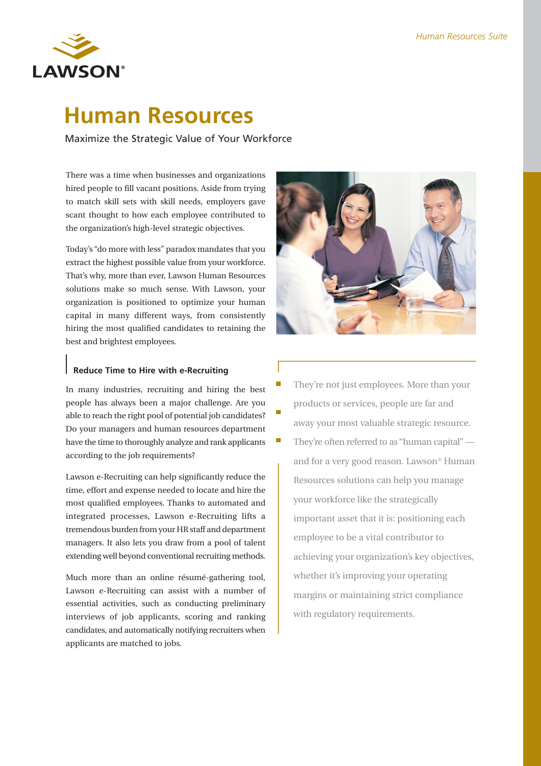

# **Human Resources**

Maximize the Strategic Value of Your Workforce

There was a time when businesses and organizations hired people to fill vacant positions. Aside from trying to match skill sets with skill needs, employers gave scant thought to how each employee contributed to the organization's high-level strategic objectives.

Today's "do more with less" paradox mandates that you extract the highest possible value from your workforce. That's why, more than ever, Lawson Human Resources solutions make so much sense. With Lawson, your organization is positioned to optimize your human capital in many different ways, from consistently hiring the most qualified candidates to retaining the best and brightest employees.

## **Reduce Time to Hire with e-Recruiting**

In many industries, recruiting and hiring the best people has always been a major challenge. Are you able to reach the right pool of potential job candidates? Do your managers and human resources department have the time to thoroughly analyze and rank applicants according to the job requirements?

 $\overline{\phantom{0}}$ 

E

Lawson e-Recruiting can help significantly reduce the time, effort and expense needed to locate and hire the most qualified employees. Thanks to automated and integrated processes, Lawson e-Recruiting lifts a tremendous burden from your HR staff and department managers. It also lets you draw from a pool of talent extending well beyond conventional recruiting methods.

Much more than an online résumé-gathering tool, Lawson e-Recruiting can assist with a number of essential activities, such as conducting preliminary interviews of job applicants, scoring and ranking candidates, and automatically notifying recruiters when applicants are matched to jobs.



They're not just employees. More than your products or services, people are far and away your most valuable strategic resource. They're often referred to as "human capital" and for a very good reason. Lawson® Human Resources solutions can help you manage your workforce like the strategically important asset that it is: positioning each employee to be a vital contributor to achieving your organization's key objectives, whether it's improving your operating margins or maintaining strict compliance with regulatory requirements.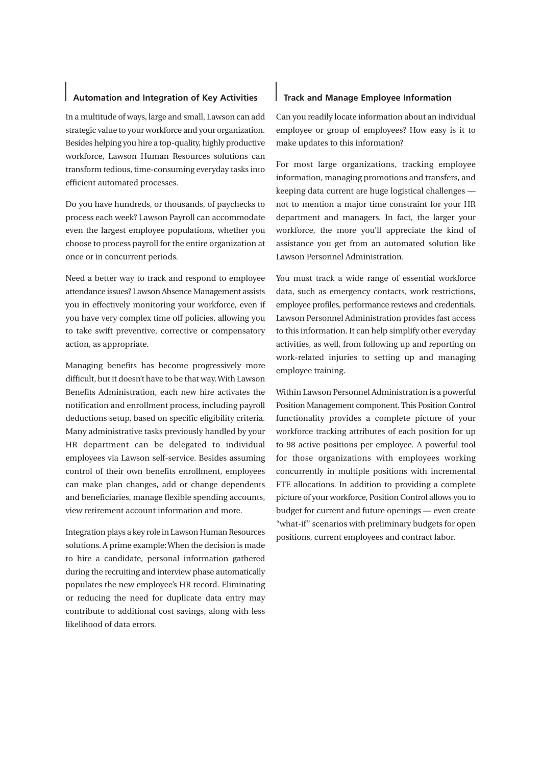# **Automation and Integration of Key Activities**

In a multitude of ways, large and small, Lawson can add strategic value to your workforce and your organization. Besides helping you hire a top-quality, highly productive workforce, Lawson Human Resources solutions can transform tedious, time-consuming everyday tasks into efficient automated processes.

Do you have hundreds, or thousands, of paychecks to process each week? Lawson Payroll can accommodate even the largest employee populations, whether you choose to process payroll for the entire organization at once or in concurrent periods.

Need a better way to track and respond to employee attendance issues? Lawson Absence Management assists you in effectively monitoring your workforce, even if you have very complex time off policies, allowing you to take swift preventive, corrective or compensatory action, as appropriate.

Managing benefits has become progressively more difficult, but it doesn't have to be that way. With Lawson Benefits Administration, each new hire activates the notification and enrollment process, including payroll deductions setup, based on specific eligibility criteria. Many administrative tasks previously handled by your HR department can be delegated to individual employees via Lawson self-service. Besides assuming control of their own benefits enrollment, employees can make plan changes, add or change dependents and beneficiaries, manage flexible spending accounts, view retirement account information and more.

Integration plays a key role in Lawson Human Resources solutions. A prime example: When the decision is made to hire a candidate, personal information gathered during the recruiting and interview phase automatically populates the new employee's HR record. Eliminating or reducing the need for duplicate data entry may contribute to additional cost savings, along with less likelihood of data errors.

# **Track and Manage Employee Information**

Can you readily locate information about an individual employee or group of employees? How easy is it to make updates to this information?

For most large organizations, tracking employee information, managing promotions and transfers, and keeping data current are huge logistical challenges not to mention a major time constraint for your HR department and managers. In fact, the larger your workforce, the more you'll appreciate the kind of assistance you get from an automated solution like Lawson Personnel Administration.

You must track a wide range of essential workforce data, such as emergency contacts, work restrictions, employee profiles, performance reviews and credentials. Lawson Personnel Administration provides fast access to this information. It can help simplify other everyday activities, as well, from following up and reporting on work-related injuries to setting up and managing employee training.

Within Lawson Personnel Administration is a powerful Position Management component. This Position Control functionality provides a complete picture of your workforce tracking attributes of each position for up to 98 active positions per employee. A powerful tool for those organizations with employees working concurrently in multiple positions with incremental FTE allocations. In addition to providing a complete picture of your workforce, Position Control allows you to budget for current and future openings — even create "what-if" scenarios with preliminary budgets for open positions, current employees and contract labor.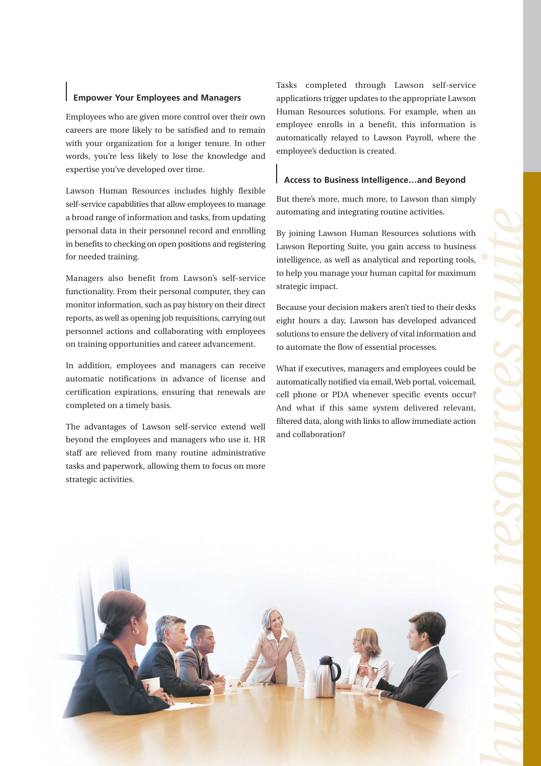# **Empower Your Employees and Managers**

Employees who are given more control over their own careers are more likely to be satisfied and to remain with your organization for a longer tenure. In other words, you're less likely to lose the knowledge and expertise you've developed over time.

Lawson Human Resources includes highly flexible self-service capabilities that allow employees to manage a broad range of information and tasks, from updating personal data in their personnel record and enrolling in benefits to checking on open positions and registering for needed training.

Managers also benefit from Lawson's self-service functionality. From their personal computer, they can monitor information, such as pay history on their direct reports, as well as opening job requisitions, carrying out personnel actions and collaborating with employees on training opportunities and career advancement.

In addition, employees and managers can receive automatic notifications in advance of license and certification expirations, ensuring that renewals are completed on a timely basis.

The advantages of Lawson self-service extend well beyond the employees and managers who use it. HR staff are relieved from many routine administrative tasks and paperwork, allowing them to focus on more strategic activities.

Tasks completed through Lawson self-service applications trigger updates to the appropriate Lawson Human Resources solutions. For example, when an employee enrolls in a benefit, this information is automatically relayed to Lawson Payroll, where the employee's deduction is created.

## **Access to Business Intelligence…and Beyond**

But there's more, much more, to Lawson than simply automating and integrating routine activities.

By joining Lawson Human Resources solutions with Lawson Reporting Suite, you gain access to business intelligence, as well as analytical and reporting tools, to help you manage your human capital for maximum strategic impact.

Because your decision makers aren't tied to their desks eight hours a day, Lawson has developed advanced solutions to ensure the delivery of vital information and to automate the flow of essential processes.

What if executives, managers and employees could be automatically notified via email, Web portal, voicemail, cell phone or PDA whenever specific events occur? And what if this same system delivered relevant, filtered data, along with links to allow immediate action and collaboration?